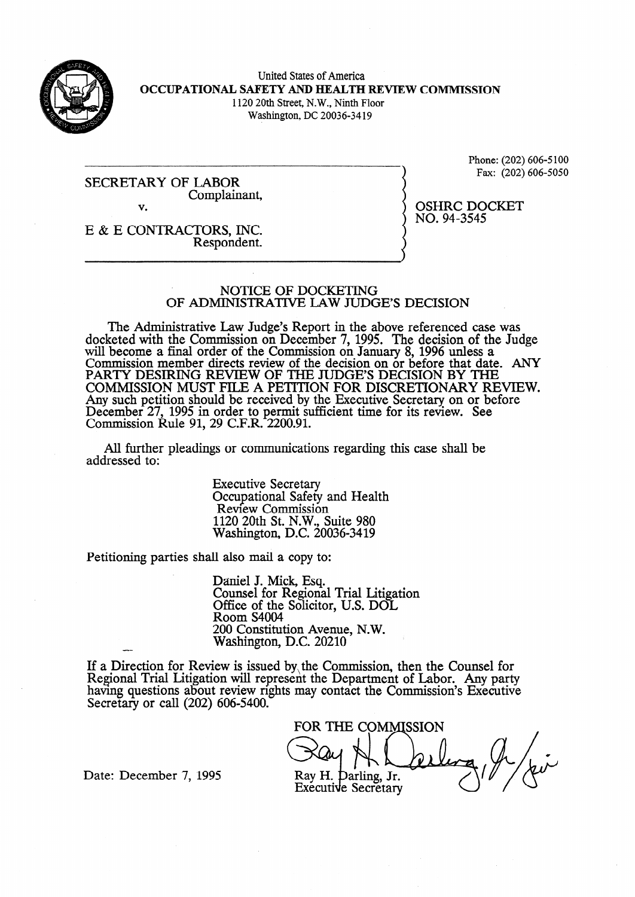

United States of America **OCCUPATIONAL SAFETY AND HEALTH REVIEW COMMISSION**  1120 20th Street, N.W., Ninth Floor Washington, DC 20036-34 19

SECRETARY OF LABOR Complainant, **V.** 

Phone: (202) 606-5 100 Fax: (202) 606-5050

OSHRC DOCKET

NO. 94-3545

E & E CONTRACTORS, INC. Respondent.

#### NOTICE OF DOCKETING OF ADMINISTRATIVE LAW JUDGE'S DECISION

The Administrative Law Judge's Report in the above referenced case was docketed with the Commission on December 7, 1995. The decision of the Judge will become a final order of the Commission on January 8, 1996 unless a Commission member directs review of the decision on or before that date. ANY PARTY DESIRING REVIEW OF THE JUDGE'S DECISION BY THE COMMISSION MUST F'ILE A PETITION FOR DISCRETIONARY REVIEW. Any such petition should be received by the Executive Secretary on or before December 27, 1995 in order to permit sufficient time for its review. See Commission Rule 91, 29 C.F.R. 2200.91.

All further pleadings or communications regarding this case shah be addressed to:

> Executive Secretary Occupational Safety and Health Review Commission 1120 20th St. N.W., Suite 980 Washington, D.C. 20036-3419

Petitioning parties shall also mail a copy to:

Daniel J. Mick, Esq. Counsel for Regional Trial Litigation Office of the Solicitor, U.S. DOL Room S4004 200 Constitution Avenue, N.W. Washington, D.C. 20210

If a Direction for Review is issued by,the Commission., then the Counsel for Regional Trial Litigation will represent the Department of Labor. Any party having questions about review rights may contact the Commission's Executive Secretary or call (202) 606-5400.

FOR THE COMMISSION Ray H. Darling, Jr. Executive Secretary

Date: December 7, 1995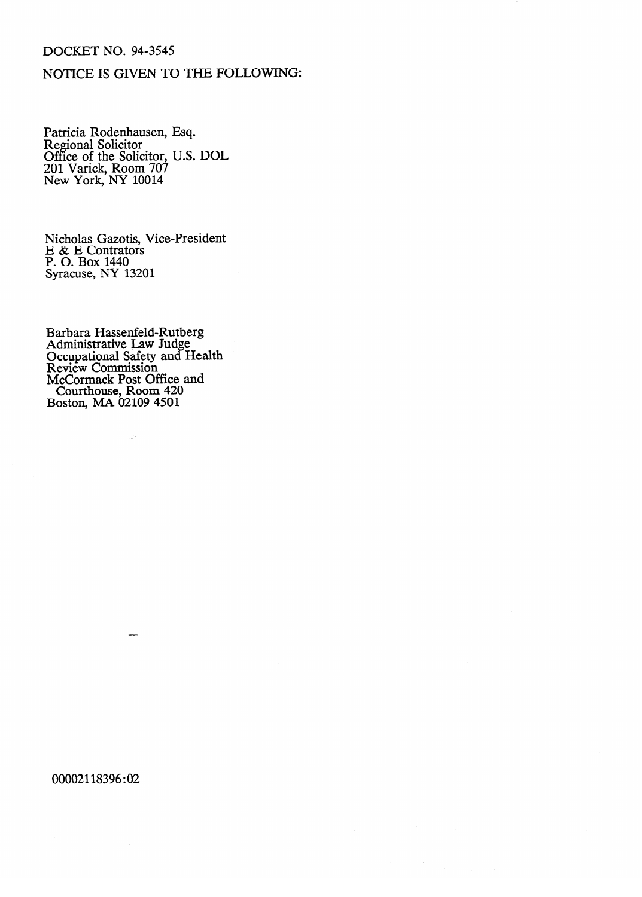## DOCKET NO. 94-3545

# NOTICE IS GIVEN TO THE FOLLOWING:

Patricia Rodenhausen, Esq.<br>Decient Solicitor Regional Solicitor Office of the Solicitor, U.S. DOL 201 Varick, Room 707<br>New York, NV 10014  $N$ ew York,  $N$  1 10014

Nicholas Gazotis, Vice-President  $E \propto E$  Contrators 1. O. Doa 1440<br>Syracuse NY 1  $S<sub>3</sub>$   $S<sub>4</sub>$   $S<sub>2</sub>$   $S<sub>3</sub>$ 

 $\mathcal{L}$ 

Administrative Law Judge **Occupational Safety and Occupational Safety and a**<br>Review Commission <u>۔</u>  $\overline{\phantom{a}}$ McCormack Post O Courthouse, Room 420 oston, MA 02109 4501 Boston, MA 02109 4501

 $\mathbb{Z}^3$ 

 $\overline{\phantom{a}}$ 

00002118396:02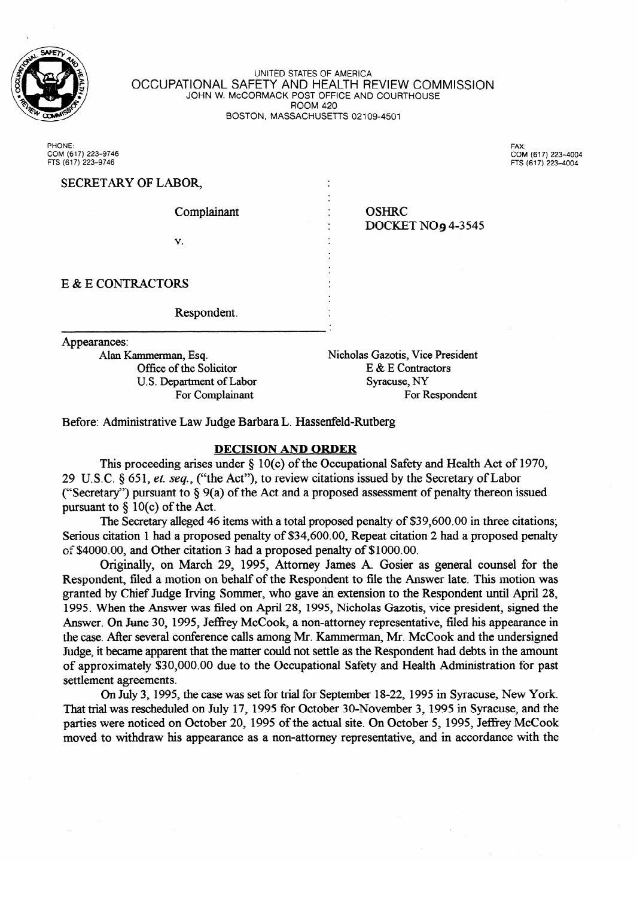

UNITED STATES OF AMERICA OCCUPATIONAL SAFETY AND HEALTH REVIEW COMMISSION JOHN W. McCORMACK POST OFFICE AND COURTHOUSE ROOM +20 BOSTON, MASSACHUSETTS 02109-4501

PHONE: **COM (617) 223-9746 COM (617) 223-4004** 

PHONE: 1223–9746<br>FTS (617) 223–9746<br>FTS (617) 223–9746

For Respondent

| SECRETARY OF LABOR,      |                                          |  |
|--------------------------|------------------------------------------|--|
| Complainant              | <b>OSHRC</b><br><b>DOCKET NO9 4-3545</b> |  |
| v.                       |                                          |  |
| E & E CONTRACTORS        |                                          |  |
| Respondent.              |                                          |  |
| Appearances:             |                                          |  |
| Alan Kammerman, Esq.     | Nicholas Gazotis, Vice President         |  |
| Office of the Solicitor  | E & E Contractors                        |  |
| U.S. Department of Labor | Syracuse, NY                             |  |

Before: Administrative Law Judge Barbara L. Hassenfeld-Rutberg

For Complainant

#### **DECISION AND ORDER**

This proceeding arises under  $\S$  10(c) of the Occupational Safety and Health Act of 1970, 29 U.S.C. § 651, et. seq., ("the Act"), to review citations issued by the Secretary of Labor ("Secretary") pursuant to  $\S$  9(a) of the Act and a proposed assessment of penalty thereon issued pursuant to  $\S$  10(c) of the Act.

The Secretary alleged 46 items with a total proposed penalty of \$39,600.00 in three citations; Serious citation 1 had a proposed penalty of \$34,600.00, Repeat citation 2 had a proposed penalty of \$4000.00, and Other citation 3 had a proposed penalty of \$1000.00.

Originally, on March 29, 1995, Attorney James A. Gosier as general counsel for the Respondent, filed a motion on behalf of the Respondent to file the Answer late. This motion was granted by Chief Judge Irving Sommer, who gave an extension to the Respondent until April 28, 1995. When the Answer was filed on April 28, 1995, Nicholas Gazotis, vice president, signed the Answer. On June 30, 1995, Jeffrey McCook, a non-attorney representative, filed his appearance in the case. After several conference calls among Mr. Kammerman, Mr. McCook and the undersigned Judge, it became apparent that the matter could not settle as the Respondent had debts in the amount of approximately \$30,000.00 due to the Occupational Safety and Health Administration for past settlement agreements.

On July 3, 1995, the case was set for trial for September 18-22, 1995 in Syracuse, New York. That trial was rescheduled on July 17, 1995 for October 30-November 3, 1995 in Syracuse, and the parties were noticed on October 20, 1995 of the actual site. On October 5, 1995, Jeffrey McCook moved to withdraw his appearance as a non-attorney representative, and in accordance with the